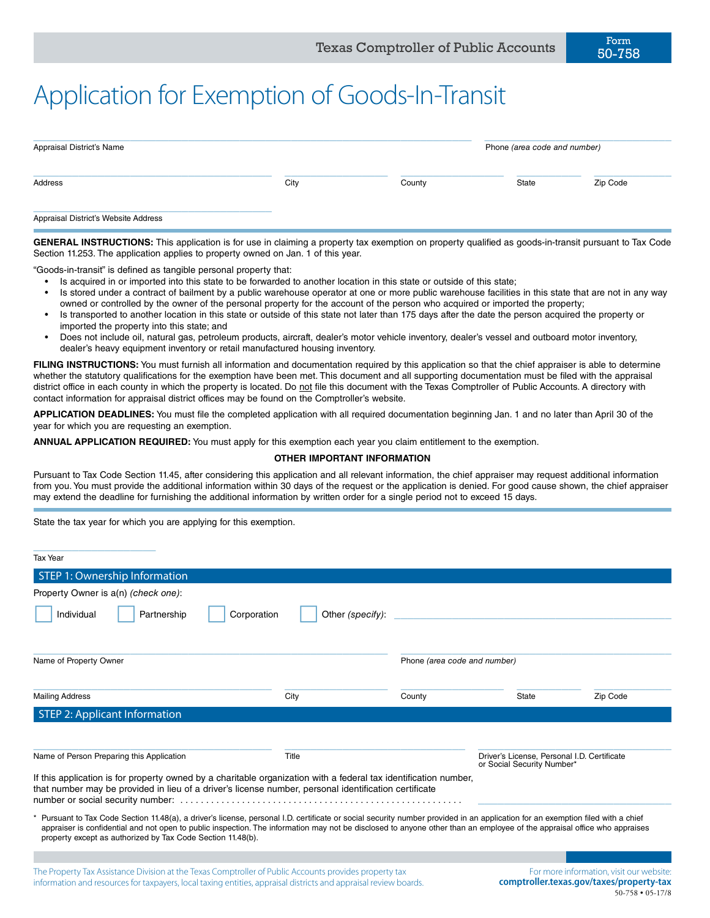## Application for Exemption of Goods-In-Transit

| Appraisal District's Name            |      |        | Phone (area code and number) |          |  |
|--------------------------------------|------|--------|------------------------------|----------|--|
| Address                              | City | County | State                        | Zip Code |  |
| Appraisal District's Website Address |      |        |                              |          |  |

**GENERAL INSTRUCTIONS:** This application is for use in claiming a property tax exemption on property qualified as goods-in-transit pursuant to Tax Code Section 11.253. The application applies to property owned on Jan. 1 of this year.

"Goods-in-transit" is defined as tangible personal property that:

- Is acquired in or imported into this state to be forwarded to another location in this state or outside of this state;
- Is stored under a contract of bailment by a public warehouse operator at one or more public warehouse facilities in this state that are not in any way owned or controlled by the owner of the personal property for the account of the person who acquired or imported the property;
- Is transported to another location in this state or outside of this state not later than 175 days after the date the person acquired the property or imported the property into this state; and
- Does not include oil, natural gas, petroleum products, aircraft, dealer's motor vehicle inventory, dealer's vessel and outboard motor inventory, dealer's heavy equipment inventory or retail manufactured housing inventory.

FILING INSTRUCTIONS: You must furnish all information and documentation required by this application so that the chief appraiser is able to determine whether the statutory qualifications for the exemption have been met. This document and all supporting documentation must be filed with the appraisal district office in each county in which the property is located. Do not file this document with the Texas Comptroller of Public Accounts. A directory with contact information for appraisal district offices may be found on the Comptroller's website.

**APPLICATION DEADLINES:** You must file the completed application with all required documentation beginning Jan. 1 and no later than April 30 of the year for which you are requesting an exemption.

**ANNUAL APPLICATION REQUIRED:** You must apply for this exemption each year you claim entitlement to the exemption.

## **OTHER IMPORTANT INFORMATION**

Pursuant to Tax Code Section 11.45, after considering this application and all relevant information, the chief appraiser may request additional information from you. You must provide the additional information within 30 days of the request or the application is denied. For good cause shown, the chief appraiser may extend the deadline for furnishing the additional information by written order for a single period not to exceed 15 days.

State the tax year for which you are applying for this exemption.

| <b>Tax Year</b>                                                                                                                                                                                                                                                                                                                                                                                                          |                                 |                                                                           |       |                                                            |
|--------------------------------------------------------------------------------------------------------------------------------------------------------------------------------------------------------------------------------------------------------------------------------------------------------------------------------------------------------------------------------------------------------------------------|---------------------------------|---------------------------------------------------------------------------|-------|------------------------------------------------------------|
| STEP 1: Ownership Information                                                                                                                                                                                                                                                                                                                                                                                            |                                 |                                                                           |       |                                                            |
| Property Owner is a(n) (check one):                                                                                                                                                                                                                                                                                                                                                                                      |                                 |                                                                           |       |                                                            |
| Individual<br>Partnership                                                                                                                                                                                                                                                                                                                                                                                                | Other (specify):<br>Corporation |                                                                           |       |                                                            |
| Name of Property Owner                                                                                                                                                                                                                                                                                                                                                                                                   |                                 | Phone (area code and number)                                              |       |                                                            |
| <b>Mailing Address</b>                                                                                                                                                                                                                                                                                                                                                                                                   | City                            | County                                                                    | State | Zip Code                                                   |
| <b>STEP 2: Applicant Information</b>                                                                                                                                                                                                                                                                                                                                                                                     |                                 |                                                                           |       |                                                            |
| Name of Person Preparing this Application                                                                                                                                                                                                                                                                                                                                                                                | Title                           | Driver's License, Personal I.D. Certificate<br>or Social Security Number* |       |                                                            |
| If this application is for property owned by a charitable organization with a federal tax identification number,<br>that number may be provided in lieu of a driver's license number, personal identification certificate                                                                                                                                                                                                |                                 |                                                                           |       |                                                            |
| Pursuant to Tax Code Section 11.48(a), a driver's license, personal I.D. certificate or social security number provided in an application for an exemption filed with a chief<br>appraiser is confidential and not open to public inspection. The information may not be disclosed to anyone other than an employee of the appraisal office who appraises<br>property except as authorized by Tax Code Section 11.48(b). |                                 |                                                                           |       |                                                            |
|                                                                                                                                                                                                                                                                                                                                                                                                                          |                                 |                                                                           |       |                                                            |
| This Designate Tay, Antonio and Diction in the Taylor Communities of Dubits, Announce is an italy in community                                                                                                                                                                                                                                                                                                           |                                 |                                                                           |       | Fareward and the fareward and an initiate range in a lands |

The Property Tax Assistance Division at the Texas Comptroller of Public Accounts provides property tax information and resources for taxpayers, local taxing entities, appraisal districts and appraisal review boards.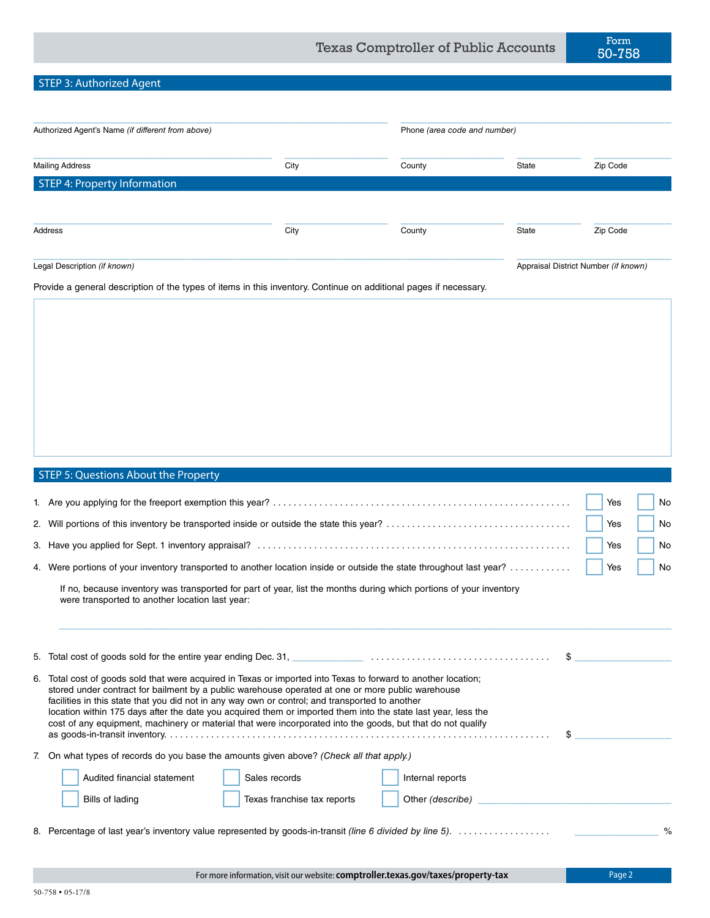## STEP 3: Authorized Agent

| Authorized Agent's Name (if different from above)                                                                                                                                                                                                                                                                                                                                                                                                                                                                                                      |                             | Phone (area code and number) |       |                                      |  |
|--------------------------------------------------------------------------------------------------------------------------------------------------------------------------------------------------------------------------------------------------------------------------------------------------------------------------------------------------------------------------------------------------------------------------------------------------------------------------------------------------------------------------------------------------------|-----------------------------|------------------------------|-------|--------------------------------------|--|
| <b>Mailing Address</b>                                                                                                                                                                                                                                                                                                                                                                                                                                                                                                                                 | City                        | County                       | State | Zip Code                             |  |
| <b>STEP 4: Property Information</b>                                                                                                                                                                                                                                                                                                                                                                                                                                                                                                                    |                             |                              |       |                                      |  |
|                                                                                                                                                                                                                                                                                                                                                                                                                                                                                                                                                        |                             |                              |       |                                      |  |
| Address                                                                                                                                                                                                                                                                                                                                                                                                                                                                                                                                                | City                        | County                       | State | Zip Code                             |  |
| Legal Description (if known)                                                                                                                                                                                                                                                                                                                                                                                                                                                                                                                           |                             |                              |       | Appraisal District Number (if known) |  |
| Provide a general description of the types of items in this inventory. Continue on additional pages if necessary.                                                                                                                                                                                                                                                                                                                                                                                                                                      |                             |                              |       |                                      |  |
|                                                                                                                                                                                                                                                                                                                                                                                                                                                                                                                                                        |                             |                              |       |                                      |  |
| STEP 5: Questions About the Property                                                                                                                                                                                                                                                                                                                                                                                                                                                                                                                   |                             |                              |       | Yes<br>No                            |  |
|                                                                                                                                                                                                                                                                                                                                                                                                                                                                                                                                                        |                             |                              |       | Yes<br>No                            |  |
|                                                                                                                                                                                                                                                                                                                                                                                                                                                                                                                                                        |                             |                              |       | Yes<br>No                            |  |
| 4. Were portions of your inventory transported to another location inside or outside the state throughout last year?                                                                                                                                                                                                                                                                                                                                                                                                                                   |                             |                              |       | Yes<br>No                            |  |
| If no, because inventory was transported for part of year, list the months during which portions of your inventory<br>were transported to another location last year:                                                                                                                                                                                                                                                                                                                                                                                  |                             |                              |       |                                      |  |
|                                                                                                                                                                                                                                                                                                                                                                                                                                                                                                                                                        |                             |                              | \$    |                                      |  |
| 6. Total cost of goods sold that were acquired in Texas or imported into Texas to forward to another location;<br>stored under contract for bailment by a public warehouse operated at one or more public warehouse<br>facilities in this state that you did not in any way own or control; and transported to another<br>location within 175 days after the date you acquired them or imported them into the state last year, less the<br>cost of any equipment, machinery or material that were incorporated into the goods, but that do not qualify |                             |                              | \$    |                                      |  |
| 7. On what types of records do you base the amounts given above? (Check all that apply.)                                                                                                                                                                                                                                                                                                                                                                                                                                                               |                             |                              |       |                                      |  |
| Audited financial statement<br>Sales records                                                                                                                                                                                                                                                                                                                                                                                                                                                                                                           |                             | Internal reports             |       |                                      |  |
| Bills of lading                                                                                                                                                                                                                                                                                                                                                                                                                                                                                                                                        | Texas franchise tax reports | Other (describe)             |       |                                      |  |

8. Percentage of last year's inventory value represented by goods-in-transit *(line 6 divided by line 5)*. . . \_\_\_\_\_\_\_\_\_\_\_\_\_ %